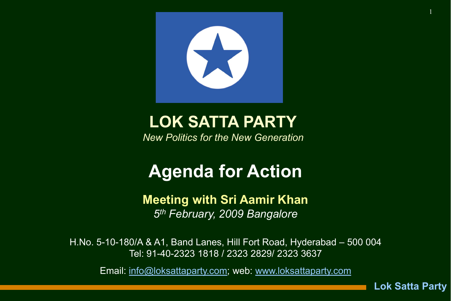

## LOK SATTA PARTY

*New Politics for the New Generation*

# Agenda for Action

#### Meeting with Sri Aamir Khan *5th February, 2009 Bangalore*

H.No. 5-10-180/A & A1, Band Lanes, Hill Fort Road, Hyderabad – 500 004 Tel: 91-40-2323 1818 / 2323 2829/ 2323 3637

Email: [info@loksattaparty.com](mailto:info@loksattaparty.com); web: [www.loksattaparty.com](http://www.loksattaparty.com/)

Lok Satta Party

1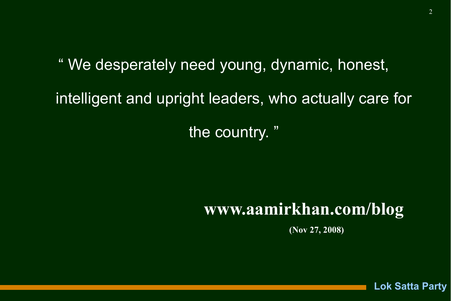" We desperately need young, dynamic, honest, intelligent and upright leaders, who actually care for

the country. "

## www.aamirkhan.com/blog

(Nov 27, 2008)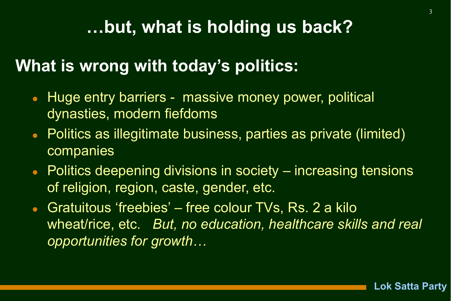## …but, what is holding us back?

### What is wrong with today's politics:

- Huge entry barriers massive money power, political dynasties, modern fiefdoms
- Politics as illegitimate business, parties as private (limited) companies
- Politics deepening divisions in society increasing tensions of religion, region, caste, gender, etc.
- Gratuitous 'freebies' free colour TVs, Rs. 2 a kilo wheat/rice, etc. *But, no education, healthcare skills and real opportunities for growth…*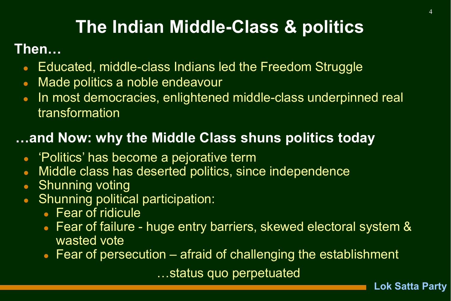# The Indian Middle-Class & politics

#### Then…

- Educated, middle-class Indians led the Freedom Struggle
- Made politics a noble endeavour
- In most democracies, enlightened middle-class underpinned real transformation

### …and Now: why the Middle Class shuns politics today

- 'Politics' has become a pejorative term
- Middle class has deserted politics, since independence
- Shunning voting
- Shunning political participation:
	- Fear of ridicule
	- Fear of failure huge entry barriers, skewed electoral system & wasted vote
	- Fear of persecution afraid of challenging the establishment

…status quo perpetuated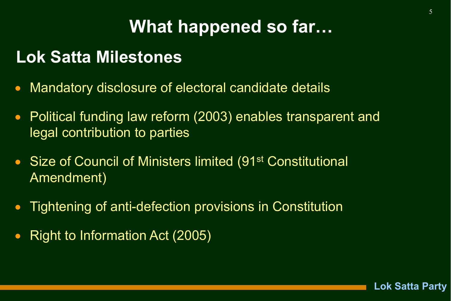# What happened so far…

### Lok Satta Milestones

- Mandatory disclosure of electoral candidate details
- Political funding law reform (2003) enables transparent and legal contribution to parties
- Size of Council of Ministers limited (91<sup>st</sup> Constitutional Amendment)
- Tightening of anti-defection provisions in Constitution
- Right to Information Act (2005)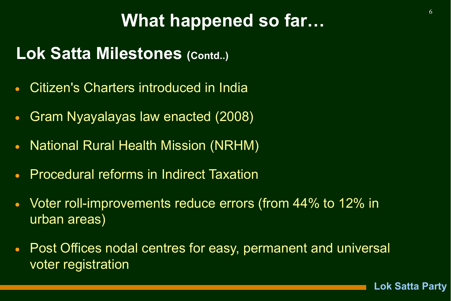## What happened so far…

### Lok Satta Milestones (Contd..)

- Citizen's Charters introduced in India
- Gram Nyayalayas law enacted (2008)
- National Rural Health Mission (NRHM)
- Procedural reforms in Indirect Taxation
- Voter roll-improvements reduce errors (from 44% to 12% in urban areas)
- Post Offices nodal centres for easy, permanent and universal voter registration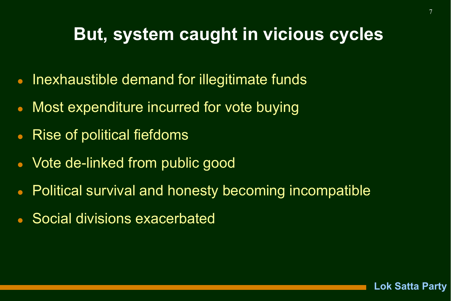### But, system caught in vicious cycles

- Inexhaustible demand for illegitimate funds
- Most expenditure incurred for vote buying
- Rise of political fiefdoms
- Vote de-linked from public good
- Political survival and honesty becoming incompatible
- Social divisions exacerbated



7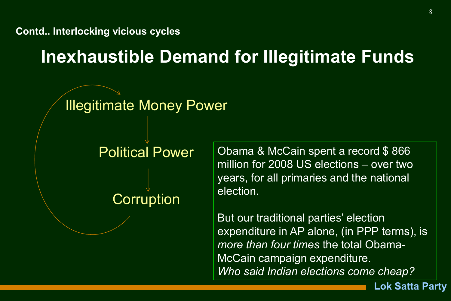Contd.. Interlocking vicious cycles

Inexhaustible Demand for Illegitimate Funds

### **Illegitimate Money Power**

#### Political Power

**Corruption** 

Obama & McCain spent a record \$866 million for 2008 US elections – over two years, for all primaries and the national election.

But our traditional parties' election expenditure in AP alone, (in PPP terms), is *more than four times* the total Obama-McCain campaign expenditure. *Who said Indian elections come cheap?*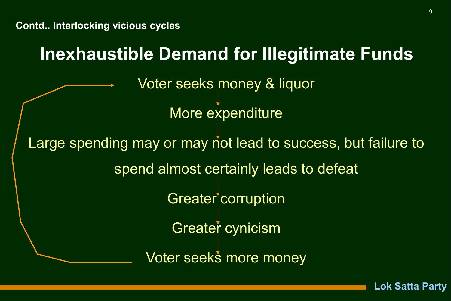### Inexhaustible Demand for Illegitimate Funds

Voter seeks money & liquor

More expenditure

Large spending may or may not lead to success, but failure to spend almost certainly leads to defeat Greater corruption Greater cynicism Voter seeks more money

9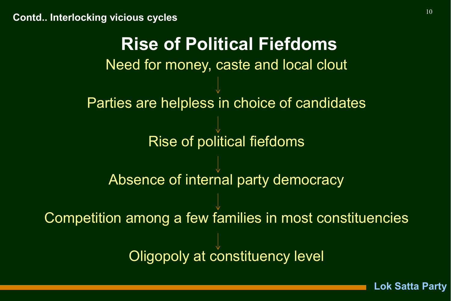Need for money, caste and local clout Parties are helpless in choice of candidates Rise of political fiefdoms Absence of internal party democracy Competition among a few families in most constituencies Oligopoly at constituency level Rise of Political Fiefdoms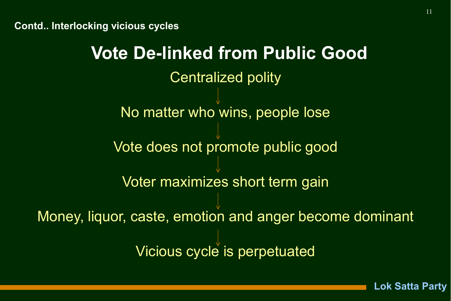Contd.. Interlocking vicious cycles

Centralized polity No matter who wins, people lose Vote does not promote public good Voter maximizes short term gain Money, liquor, caste, emotion and anger become dominant Vicious cycle is perpetuated Vote De-linked from Public Good

11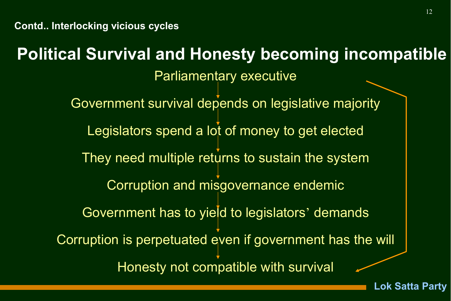### Political Survival and Honesty becoming incompatible

Parliamentary executive

Government survival depends on legislative majority Legislators spend a lot of money to get elected They need multiple returns to sustain the system Corruption and misgovernance endemic Government has to yield to legislators' demands Corruption is perpetuated even if government has the will Honesty not compatible with survival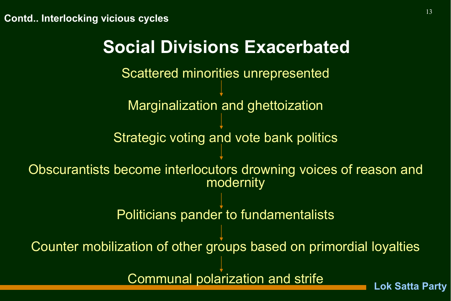Scattered minorities unrepresented Marginalization and ghettoization Strategic voting and vote bank politics Obscurantists become interlocutors drowning voices of reason and modernity Politicians pander to fundamentalists Counter mobilization of other groups based on primordial loyalties Social Divisions Exacerbated

Communal polarization and strife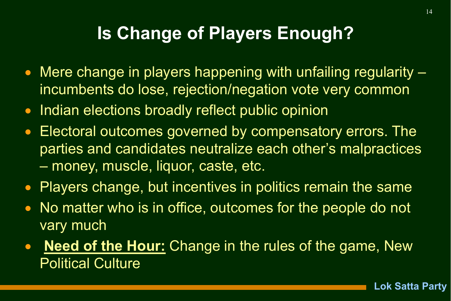## Is Change of Players Enough?

- Mere change in players happening with unfailing regularity incumbents do lose, rejection/negation vote very common
- Indian elections broadly reflect public opinion
- Electoral outcomes governed by compensatory errors. The parties and candidates neutralize each other's malpractices – money, muscle, liquor, caste, etc.
- Players change, but incentives in politics remain the same
- No matter who is in office, outcomes for the people do not vary much
- Need of the Hour: Change in the rules of the game, New Political Culture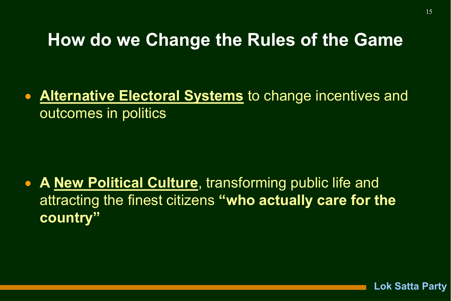### How do we Change the Rules of the Game

• Alternative Electoral Systems to change incentives and outcomes in politics

• A New Political Culture, transforming public life and attracting the finest citizens "who actually care for the country"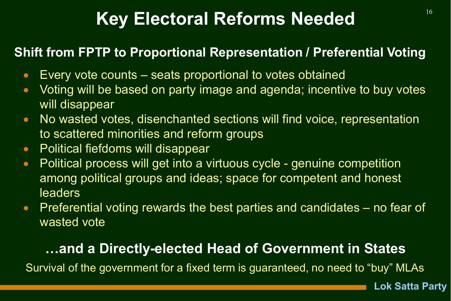# Key Electoral Reforms Needed **16**

#### Shift from FPTP to Proportional Representation / Preferential Voting

- Every vote counts seats proportional to votes obtained
- Voting will be based on party image and agenda; incentive to buy votes will disappear
- No wasted votes, disenchanted sections will find voice, representation to scattered minorities and reform groups
- Political fiefdoms will disappear
- Political process will get into a virtuous cycle genuine competition among political groups and ideas; space for competent and honest **leaders**
- Preferential voting rewards the best parties and candidates no fear of wasted vote

### …and a Directly-elected Head of Government in States

Survival of the government for a fixed term is guaranteed, no need to "buy" MLAs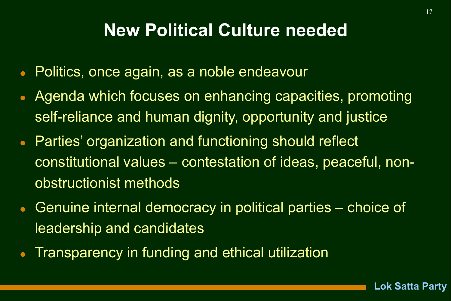## New Political Culture needed

- Politics, once again, as a noble endeavour
- Agenda which focuses on enhancing capacities, promoting self-reliance and human dignity, opportunity and justice
- Parties' organization and functioning should reflect constitutional values – contestation of ideas, peaceful, nonobstructionist methods
- Genuine internal democracy in political parties choice of leadership and candidates
- Transparency in funding and ethical utilization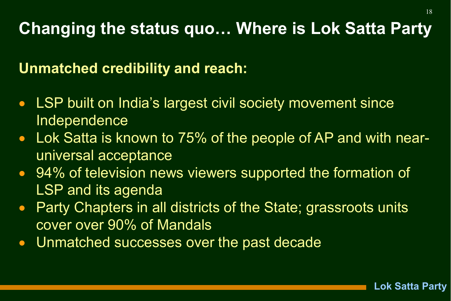## Changing the status quo… Where is Lok Satta Party

Unmatched credibility and reach:

- LSP built on India's largest civil society movement since Independence
- Lok Satta is known to 75% of the people of AP and with nearuniversal acceptance
- 94% of television news viewers supported the formation of LSP and its agenda
- Party Chapters in all districts of the State; grassroots units cover over 90% of Mandals
- Unmatched successes over the past decade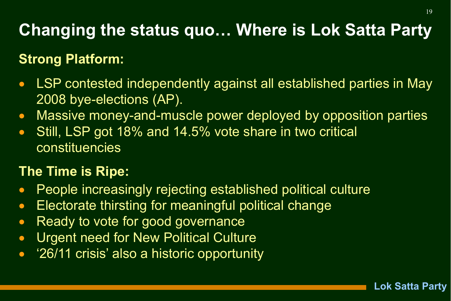## Changing the status quo… Where is Lok Satta Party

### Strong Platform:

- LSP contested independently against all established parties in May 2008 bye-elections (AP).
- Massive money-and-muscle power deployed by opposition parties
- Still, LSP got 18% and 14.5% vote share in two critical constituencies

### The Time is Ripe:

- People increasingly rejecting established political culture
- Electorate thirsting for meaningful political change
- Ready to vote for good governance
- **Urgent need for New Political Culture**
- '26/11 crisis' also a historic opportunity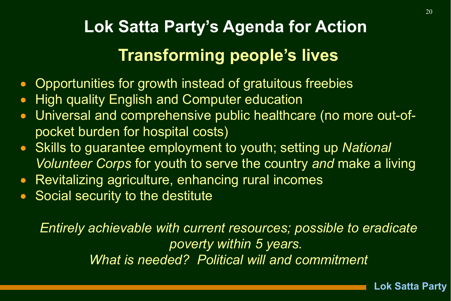# Lok Satta Party's Agenda for Action Transforming people's lives

- Opportunities for growth instead of gratuitous freebies
- High quality English and Computer education
- Universal and comprehensive public healthcare (no more out-ofpocket burden for hospital costs)
- Skills to guarantee employment to youth; setting up *National Volunteer Corps* for youth to serve the country *and* make a living
- Revitalizing agriculture, enhancing rural incomes
- **Social security to the destitute**

*Entirely achievable with current resources; possible to eradicate poverty within 5 years. What is needed? Political will and commitment*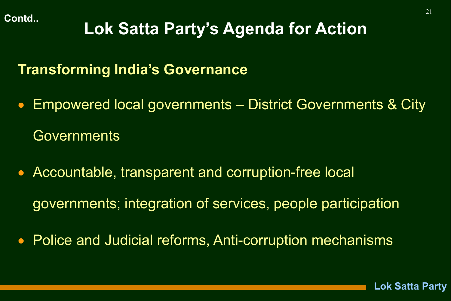# Lok Satta Party's Agenda for Action

### Transforming India's Governance

- Empowered local governments District Governments & City **Governments**
- Accountable, transparent and corruption-free local governments; integration of services, people participation
- Police and Judicial reforms, Anti-corruption mechanisms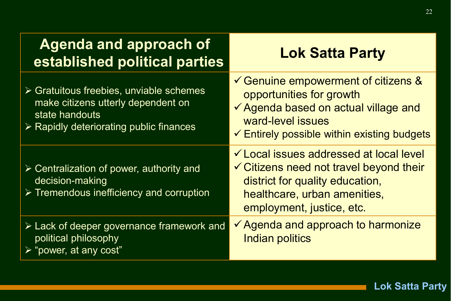| <b>Agenda and approach of</b><br>established political parties                                                                                                           | <b>Lok Satta Party</b>                                                                                                                                                                                   |
|--------------------------------------------------------------------------------------------------------------------------------------------------------------------------|----------------------------------------------------------------------------------------------------------------------------------------------------------------------------------------------------------|
| $\triangleright$ Gratuitous freebies, unviable schemes<br>make citizens utterly dependent on<br>state handouts<br>$\triangleright$ Rapidly deteriorating public finances | $\checkmark$ Genuine empowerment of citizens &<br>opportunities for growth<br>✔ Agenda based on actual village and<br>ward-level issues<br>$\checkmark$ Entirely possible within existing budgets        |
| $\triangleright$ Centralization of power, authority and<br>decision-making<br>> Tremendous inefficiency and corruption                                                   | <del>✓</del> Local issues addressed at local level<br>$\checkmark$ Citizens need not travel beyond their<br>district for quality education,<br>healthcare, urban amenities,<br>employment, justice, etc. |
| $\triangleright$ Lack of deeper governance framework and<br>political philosophy<br>$\triangleright$ "power, at any cost"                                                | ✔ Agenda and approach to harmonize<br>Indian politics                                                                                                                                                    |

22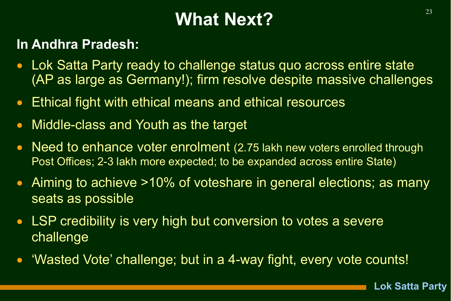# What Next? And the state of  $\frac{23}{2}$

### In Andhra Pradesh:

- Lok Satta Party ready to challenge status quo across entire state (AP as large as Germany!); firm resolve despite massive challenges
- Ethical fight with ethical means and ethical resources
- Middle-class and Youth as the target
- Need to enhance voter enrolment (2.75 lakh new voters enrolled through Post Offices; 2-3 lakh more expected; to be expanded across entire State)
- Aiming to achieve >10% of voteshare in general elections; as many seats as possible
- LSP credibility is very high but conversion to votes a severe challenge
- 'Wasted Vote' challenge; but in a 4-way fight, every vote counts!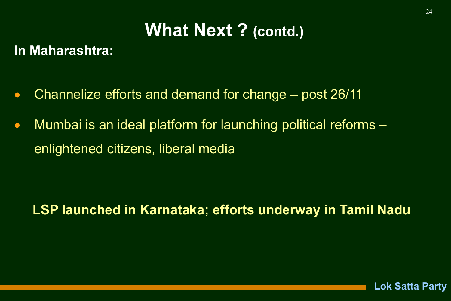## What Next ? (contd.)

#### In Maharashtra:

- Channelize efforts and demand for change post 26/11
- Mumbai is an ideal platform for launching political reforms enlightened citizens, liberal media

### LSP launched in Karnataka; efforts underway in Tamil Nadu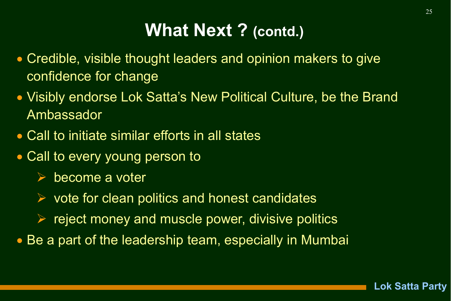## What Next ? (contd.)

- Credible, visible thought leaders and opinion makers to give confidence for change
- Visibly endorse Lok Satta's New Political Culture, be the Brand Ambassador
- Call to initiate similar efforts in all states
- Call to every young person to
	- $\triangleright$  become a voter
	- $\triangleright$  vote for clean politics and honest candidates
	- $\triangleright$  reject money and muscle power, divisive politics
- Be a part of the leadership team, especially in Mumbai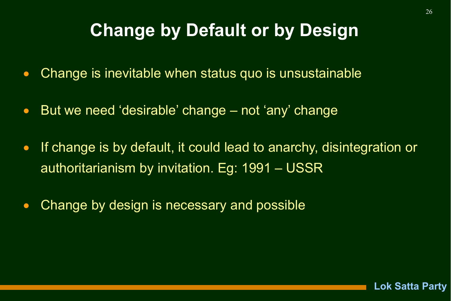## **Change by Default or by Design**

- Change is inevitable when status quo is unsustainable
- But we need 'desirable' change not 'any' change
- If change is by default, it could lead to anarchy, disintegration or authoritarianism by invitation. Eg: 1991 – USSR
- Change by design is necessary and possible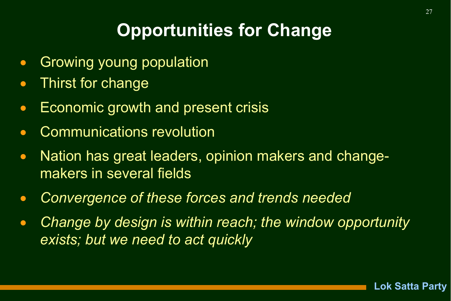# Opportunities for Change

- **Growing young population**
- Thirst for change
- Economic growth and present crisis
- Communications revolution
- Nation has great leaders, opinion makers and changemakers in several fields
- *Convergence of these forces and trends needed*
- *Change by design is within reach; the window opportunity exists; but we need to act quickly*